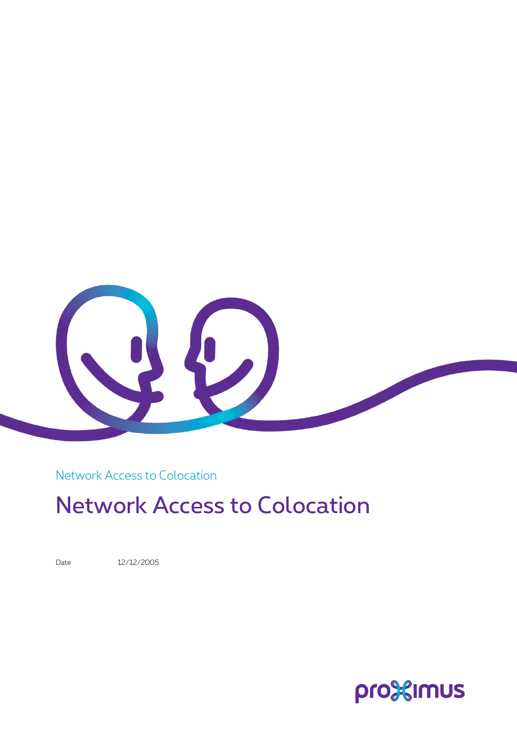

Network Access to Colocation

# Network Access to Colocation

Date 12/12/2005

pro<sup>32</sup>imus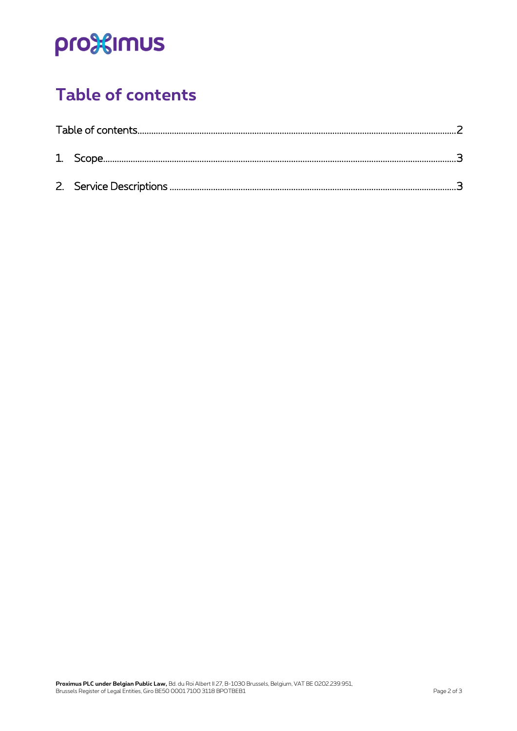# pro<sup>32</sup>imus

### <span id="page-1-0"></span>**Table of contents**